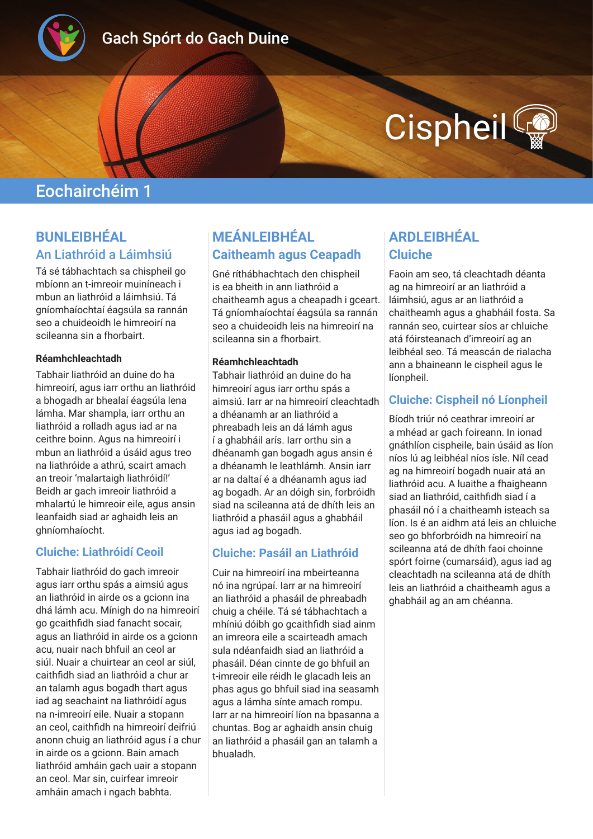

# Gach Spórt do Gach Duine

# **Cispheil**

# Eochairchéim 1

## **BUNLEIBHÉAL** An Liathróid a Láimhsiú

Tá sé tábhachtach sa chispheil go mbíonn an t-imreoir muiníneach i mbun an liathróid a láimhsiú. Tá gníomhaíochtaí éagsúla sa rannán seo a chuideoidh le himreoirí na scileanna sin a fhorbairt.

#### **Réamhchleachtadh**

Tabhair liathróid an duine do ha himreoirí, agus iarr orthu an liathróid a bhogadh ar bhealaí éagsúla lena lámha. Mar shampla, iarr orthu an liathróid a rolladh agus iad ar na ceithre boinn. Agus na himreoirí i mbun an liathróid a úsáid agus treo na liathróide a athrú, scairt amach an treoir 'malartaigh liathróidí!' Beidh ar gach imreoir liathróid a mhalartú le himreoir eile, agus ansin leanfaidh siad ar aghaidh leis an ghníomhaíocht.

#### **Cluiche: Liathróidí Ceoil**

Tabhair liathróid do gach imreoir agus iarr orthu spás a aimsiú agus an liathróid in airde os a gcionn ina dhá lámh acu. Mínigh do na himreoirí go gcaithfidh siad fanacht socair, agus an liathróid in airde os a gcionn acu, nuair nach bhfuil an ceol ar siúl. Nuair a chuirtear an ceol ar siúl, caithfidh siad an liathróid a chur ar an talamh agus bogadh thart agus iad ag seachaint na liathróidí agus na n-imreoirí eile. Nuair a stopann an ceol, caithfidh na himreoirí deifriú anonn chuig an liathróid agus í a chur in airde os a gcionn. Bain amach liathróid amháin gach uair a stopann an ceol. Mar sin, cuirfear imreoir amháin amach i ngach babhta.

# **MEÁNLEIBHÉAL Caitheamh agus Ceapadh**

Gné ríthábhachtach den chispheil is ea bheith in ann liathróid a chaitheamh agus a cheapadh i gceart. Tá gníomhaíochtaí éagsúla sa rannán seo a chuideoidh leis na himreoirí na scileanna sin a fhorbairt.

#### **Réamhchleachtadh**

Tabhair liathróid an duine do ha himreoirí agus iarr orthu spás a aimsiú. Iarr ar na himreoirí cleachtadh a dhéanamh ar an liathróid a phreabadh leis an dá lámh agus í a ghabháil arís. Iarr orthu sin a dhéanamh gan bogadh agus ansin é a dhéanamh le leathlámh. Ansin iarr ar na daltaí é a dhéanamh agus iad ag bogadh. Ar an dóigh sin, forbróidh siad na scileanna atá de dhíth leis an liathróid a phasáil agus a ghabháil agus iad ag bogadh.

#### **Cluiche: Pasáil an Liathróid**

Cuir na himreoirí ina mbeirteanna nó ina ngrúpaí. Iarr ar na himreoirí an liathróid a phasáil de phreabadh chuig a chéile. Tá sé tábhachtach a mhíniú dóibh go gcaithfidh siad ainm an imreora eile a scairteadh amach sula ndéanfaidh siad an liathróid a phasáil. Déan cinnte de go bhfuil an t-imreoir eile réidh le glacadh leis an phas agus go bhfuil siad ina seasamh agus a lámha sínte amach rompu. Iarr ar na himreoirí líon na bpasanna a chuntas. Bog ar aghaidh ansin chuig an liathróid a phasáil gan an talamh a bhualadh.

# **ARDLEIBHÉAL Cluiche**

Faoin am seo, tá cleachtadh déanta ag na himreoirí ar an liathróid a láimhsiú, agus ar an liathróid a chaitheamh agus a ghabháil fosta. Sa rannán seo, cuirtear síos ar chluiche atá fóirsteanach d'imreoirí ag an leibhéal seo. Tá meascán de rialacha ann a bhaineann le cispheil agus le líonpheil.

#### **Cluiche: Cispheil nó Líonpheil**

Bíodh triúr nó ceathrar imreoirí ar a mhéad ar gach foireann. In ionad gnáthlíon cispheile, bain úsáid as líon níos lú ag leibhéal níos ísle. Níl cead ag na himreoirí bogadh nuair atá an liathróid acu. A luaithe a fhaigheann siad an liathróid, caithfidh siad í a phasáil nó í a chaitheamh isteach sa líon. Is é an aidhm atá leis an chluiche seo go bhforbróidh na himreoirí na scileanna atá de dhíth faoi choinne spórt foirne (cumarsáid), agus iad ag cleachtadh na scileanna atá de dhíth leis an liathróid a chaitheamh agus a ghabháil ag an am chéanna.